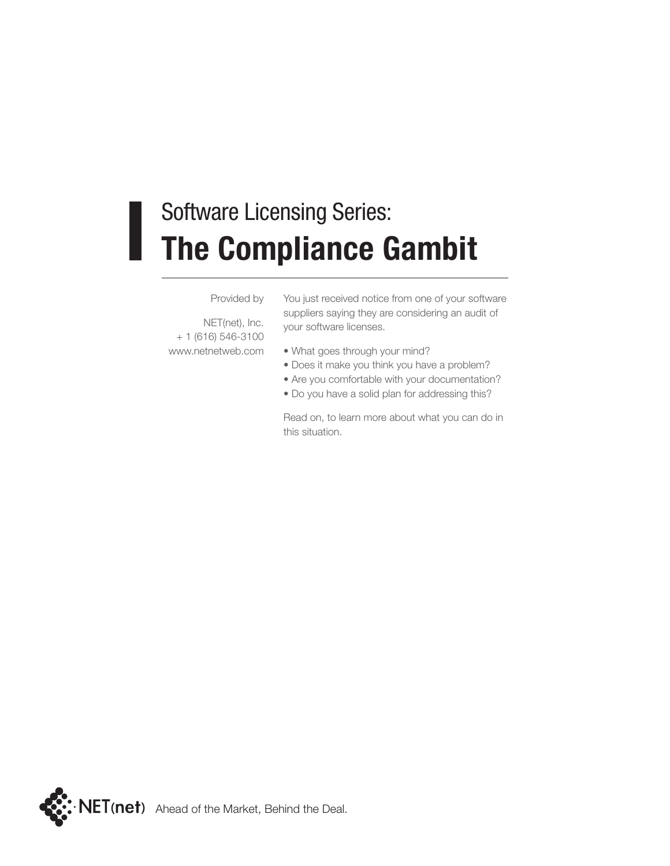#### Software Licensing Series: **The Compliance Gambit**

Provided by

NET(net), Inc. + 1 (616) 546-3100 www.netnetweb.com

You just received notice from one of your software suppliers saying they are considering an audit of your software licenses.

- What goes through your mind?
- Does it make you think you have a problem?
- Are you comfortable with your documentation?
- Do you have a solid plan for addressing this?

Read on, to learn more about what you can do in this situation.

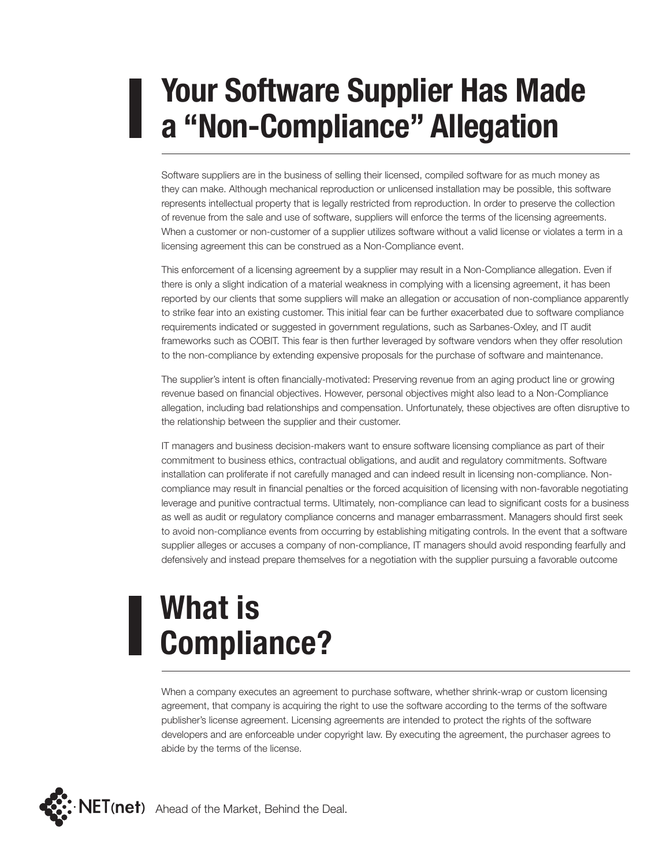### **Your Software Supplier Has Made a "Non-Compliance" Allegation**

Software suppliers are in the business of selling their licensed, compiled software for as much money as they can make. Although mechanical reproduction or unlicensed installation may be possible, this software represents intellectual property that is legally restricted from reproduction. In order to preserve the collection of revenue from the sale and use of software, suppliers will enforce the terms of the licensing agreements. When a customer or non-customer of a supplier utilizes software without a valid license or violates a term in a licensing agreement this can be construed as a Non-Compliance event.

This enforcement of a licensing agreement by a supplier may result in a Non-Compliance allegation. Even if there is only a slight indication of a material weakness in complying with a licensing agreement, it has been reported by our clients that some suppliers will make an allegation or accusation of non-compliance apparently to strike fear into an existing customer. This initial fear can be further exacerbated due to software compliance requirements indicated or suggested in government regulations, such as Sarbanes-Oxley, and IT audit frameworks such as COBIT. This fear is then further leveraged by software vendors when they offer resolution to the non-compliance by extending expensive proposals for the purchase of software and maintenance.

The supplier's intent is often financially-motivated: Preserving revenue from an aging product line or growing revenue based on financial objectives. However, personal objectives might also lead to a Non-Compliance allegation, including bad relationships and compensation. Unfortunately, these objectives are often disruptive to the relationship between the supplier and their customer.

IT managers and business decision-makers want to ensure software licensing compliance as part of their commitment to business ethics, contractual obligations, and audit and regulatory commitments. Software installation can proliferate if not carefully managed and can indeed result in licensing non-compliance. Noncompliance may result in financial penalties or the forced acquisition of licensing with non-favorable negotiating leverage and punitive contractual terms. Ultimately, non-compliance can lead to significant costs for a business as well as audit or regulatory compliance concerns and manager embarrassment. Managers should first seek to avoid non-compliance events from occurring by establishing mitigating controls. In the event that a software supplier alleges or accuses a company of non-compliance, IT managers should avoid responding fearfully and defensively and instead prepare themselves for a negotiation with the supplier pursuing a favorable outcome

# **What is Compliance?**

When a company executes an agreement to purchase software, whether shrink-wrap or custom licensing agreement, that company is acquiring the right to use the software according to the terms of the software publisher's license agreement. Licensing agreements are intended to protect the rights of the software developers and are enforceable under copyright law. By executing the agreement, the purchaser agrees to abide by the terms of the license.

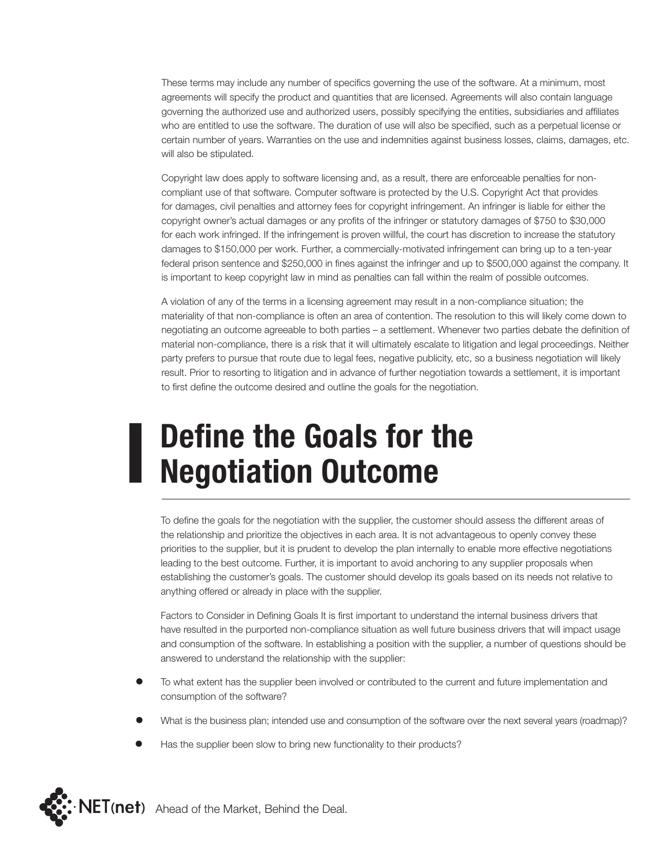These terms may include any number of specifics governing the use of the software. At a minimum, most agreements will specify the product and quantities that are licensed. Agreements will also contain language governing the authorized use and authorized users, possibly specifying the entities, subsidiaries and affiliates who are entitled to use the software. The duration of use will also be specified, such as a perpetual license or certain number of years. Warranties on the use and indemnities against business losses, claims, damages, etc. will also be stipulated.

Copyright law does apply to software licensing and, as a result, there are enforceable penalties for noncompliant use of that software. Computer software is protected by the U.S. Copyright Act that provides for damages, civil penalties and attorney fees for copyright infringement. An infringer is liable for either the copyright owner's actual damages or any profits of the infringer or statutory damages of \$750 to \$30,000 for each work infringed. If the infringement is proven willful, the court has discretion to increase the statutory damages to \$150,000 per work. Further, a commercially-motivated infringement can bring up to a ten-year federal prison sentence and \$250,000 in fines against the infringer and up to \$500,000 against the company. It is important to keep copyright law in mind as penalties can fall within the realm of possible outcomes.

A violation of any of the terms in a licensing agreement may result in a non-compliance situation; the materiality of that non-compliance is often an area of contention. The resolution to this will likely come down to negotiating an outcome agreeable to both parties – a settlement. Whenever two parties debate the definition of material non-compliance, there is a risk that it will ultimately escalate to litigation and legal proceedings. Neither party prefers to pursue that route due to legal fees, negative publicity, etc, so a business negotiation will likely result. Prior to resorting to litigation and in advance of further negotiation towards a settlement, it is important to first define the outcome desired and outline the goals for the negotiation.

#### **Define the Goals for the Negotiation Outcome**

To define the goals for the negotiation with the supplier, the customer should assess the different areas of the relationship and prioritize the objectives in each area. It is not advantageous to openly convey these priorities to the supplier, but it is prudent to develop the plan internally to enable more effective negotiations leading to the best outcome. Further, it is important to avoid anchoring to any supplier proposals when establishing the customer's goals. The customer should develop its goals based on its needs not relative to anything offered or already in place with the supplier.

Factors to Consider in Defining Goals It is first important to understand the internal business drivers that have resulted in the purported non-compliance situation as well future business drivers that will impact usage and consumption of the software. In establishing a position with the supplier, a number of questions should be answered to understand the relationship with the supplier:

- To what extent has the supplier been involved or contributed to the current and future implementation and consumption of the software?
- What is the business plan; intended use and consumption of the software over the next several years (roadmap)?
- Has the supplier been slow to bring new functionality to their products?

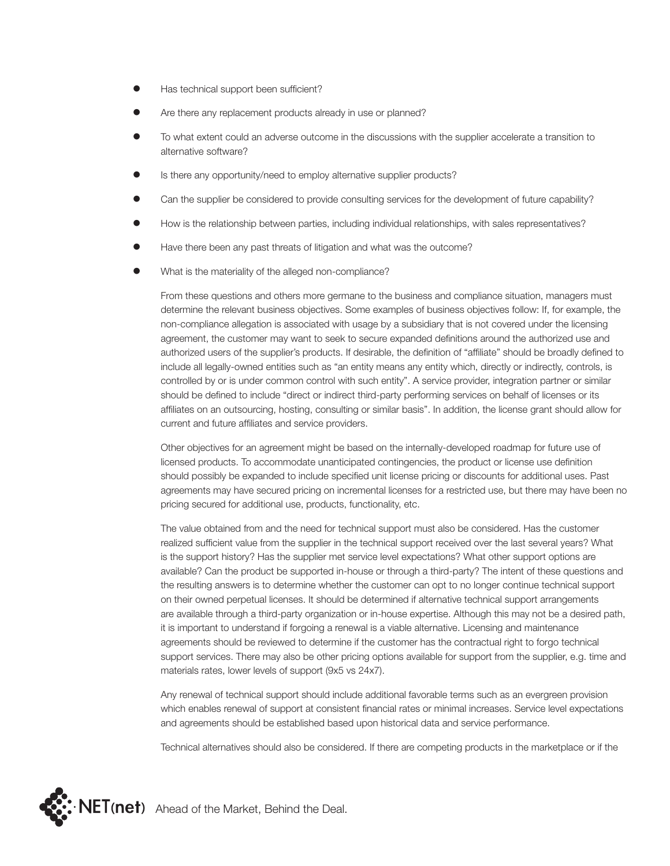- Has technical support been sufficient?
- Are there any replacement products already in use or planned?
- To what extent could an adverse outcome in the discussions with the supplier accelerate a transition to alternative software?
- Is there any opportunity/need to employ alternative supplier products?
- Can the supplier be considered to provide consulting services for the development of future capability?
- How is the relationship between parties, including individual relationships, with sales representatives?
- Have there been any past threats of litigation and what was the outcome?
- What is the materiality of the alleged non-compliance?

From these questions and others more germane to the business and compliance situation, managers must determine the relevant business objectives. Some examples of business objectives follow: If, for example, the non-compliance allegation is associated with usage by a subsidiary that is not covered under the licensing agreement, the customer may want to seek to secure expanded definitions around the authorized use and authorized users of the supplier's products. If desirable, the definition of "affiliate" should be broadly defined to include all legally-owned entities such as "an entity means any entity which, directly or indirectly, controls, is controlled by or is under common control with such entity". A service provider, integration partner or similar should be defined to include "direct or indirect third-party performing services on behalf of licenses or its affiliates on an outsourcing, hosting, consulting or similar basis". In addition, the license grant should allow for current and future affiliates and service providers.

Other objectives for an agreement might be based on the internally-developed roadmap for future use of licensed products. To accommodate unanticipated contingencies, the product or license use definition should possibly be expanded to include specified unit license pricing or discounts for additional uses. Past agreements may have secured pricing on incremental licenses for a restricted use, but there may have been no pricing secured for additional use, products, functionality, etc.

The value obtained from and the need for technical support must also be considered. Has the customer realized sufficient value from the supplier in the technical support received over the last several years? What is the support history? Has the supplier met service level expectations? What other support options are available? Can the product be supported in-house or through a third-party? The intent of these questions and the resulting answers is to determine whether the customer can opt to no longer continue technical support on their owned perpetual licenses. It should be determined if alternative technical support arrangements are available through a third-party organization or in-house expertise. Although this may not be a desired path, it is important to understand if forgoing a renewal is a viable alternative. Licensing and maintenance agreements should be reviewed to determine if the customer has the contractual right to forgo technical support services. There may also be other pricing options available for support from the supplier, e.g. time and materials rates, lower levels of support (9x5 vs 24x7).

Any renewal of technical support should include additional favorable terms such as an evergreen provision which enables renewal of support at consistent financial rates or minimal increases. Service level expectations and agreements should be established based upon historical data and service performance.

Technical alternatives should also be considered. If there are competing products in the marketplace or if the

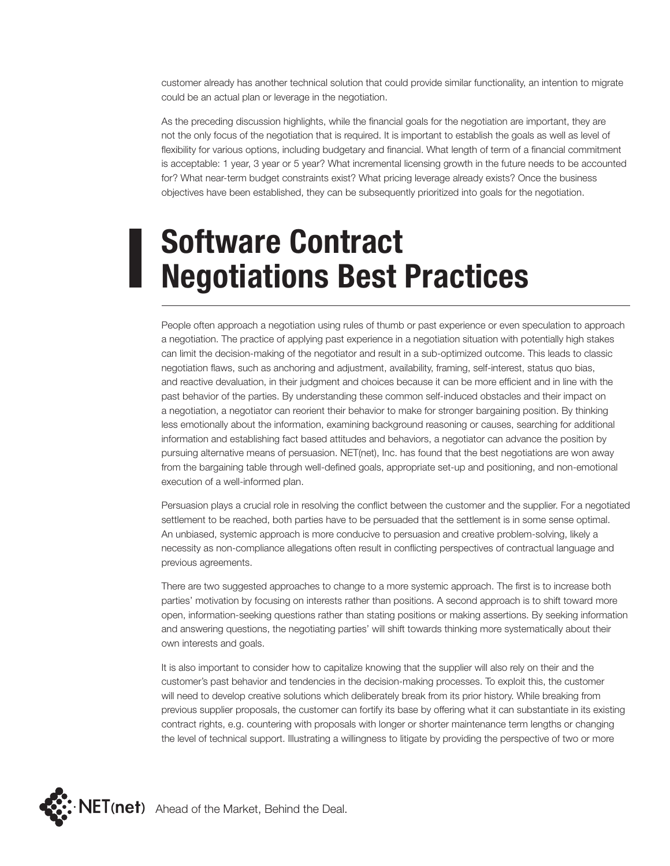customer already has another technical solution that could provide similar functionality, an intention to migrate could be an actual plan or leverage in the negotiation.

As the preceding discussion highlights, while the financial goals for the negotiation are important, they are not the only focus of the negotiation that is required. It is important to establish the goals as well as level of flexibility for various options, including budgetary and financial. What length of term of a financial commitment is acceptable: 1 year, 3 year or 5 year? What incremental licensing growth in the future needs to be accounted for? What near-term budget constraints exist? What pricing leverage already exists? Once the business objectives have been established, they can be subsequently prioritized into goals for the negotiation.

### **Software Contract Negotiations Best Practices**

People often approach a negotiation using rules of thumb or past experience or even speculation to approach a negotiation. The practice of applying past experience in a negotiation situation with potentially high stakes can limit the decision-making of the negotiator and result in a sub-optimized outcome. This leads to classic negotiation flaws, such as anchoring and adjustment, availability, framing, self-interest, status quo bias, and reactive devaluation, in their judgment and choices because it can be more efficient and in line with the past behavior of the parties. By understanding these common self-induced obstacles and their impact on a negotiation, a negotiator can reorient their behavior to make for stronger bargaining position. By thinking less emotionally about the information, examining background reasoning or causes, searching for additional information and establishing fact based attitudes and behaviors, a negotiator can advance the position by pursuing alternative means of persuasion. NET(net), Inc. has found that the best negotiations are won away from the bargaining table through well-defined goals, appropriate set-up and positioning, and non-emotional execution of a well-informed plan.

Persuasion plays a crucial role in resolving the conflict between the customer and the supplier. For a negotiated settlement to be reached, both parties have to be persuaded that the settlement is in some sense optimal. An unbiased, systemic approach is more conducive to persuasion and creative problem-solving, likely a necessity as non-compliance allegations often result in conflicting perspectives of contractual language and previous agreements.

There are two suggested approaches to change to a more systemic approach. The first is to increase both parties' motivation by focusing on interests rather than positions. A second approach is to shift toward more open, information-seeking questions rather than stating positions or making assertions. By seeking information and answering questions, the negotiating parties' will shift towards thinking more systematically about their own interests and goals.

It is also important to consider how to capitalize knowing that the supplier will also rely on their and the customer's past behavior and tendencies in the decision-making processes. To exploit this, the customer will need to develop creative solutions which deliberately break from its prior history. While breaking from previous supplier proposals, the customer can fortify its base by offering what it can substantiate in its existing contract rights, e.g. countering with proposals with longer or shorter maintenance term lengths or changing the level of technical support. Illustrating a willingness to litigate by providing the perspective of two or more

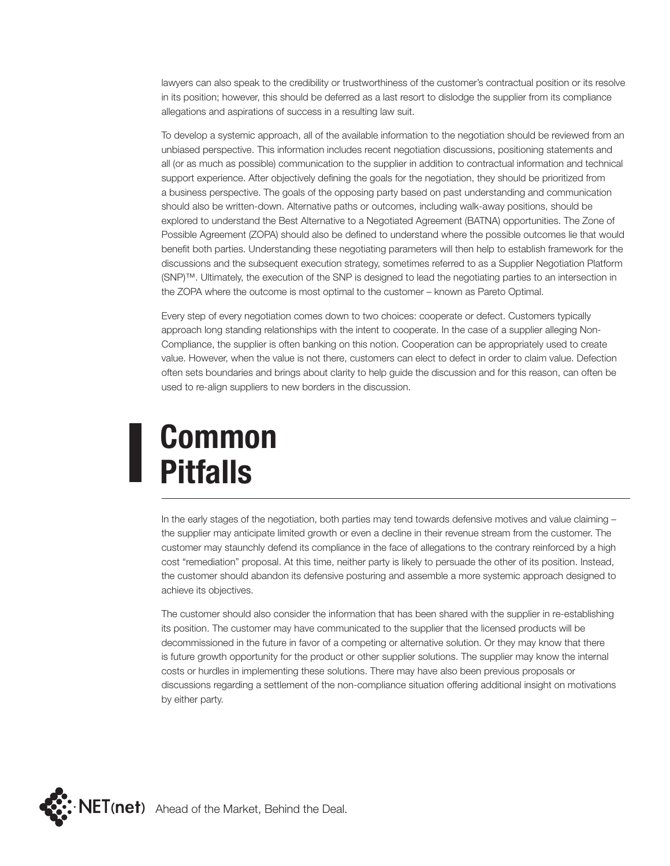lawyers can also speak to the credibility or trustworthiness of the customer's contractual position or its resolve in its position; however, this should be deferred as a last resort to dislodge the supplier from its compliance allegations and aspirations of success in a resulting law suit.

To develop a systemic approach, all of the available information to the negotiation should be reviewed from an unbiased perspective. This information includes recent negotiation discussions, positioning statements and all (or as much as possible) communication to the supplier in addition to contractual information and technical support experience. After objectively defining the goals for the negotiation, they should be prioritized from a business perspective. The goals of the opposing party based on past understanding and communication should also be written-down. Alternative paths or outcomes, including walk-away positions, should be explored to understand the Best Alternative to a Negotiated Agreement (BATNA) opportunities. The Zone of Possible Agreement (ZOPA) should also be defined to understand where the possible outcomes lie that would benefit both parties. Understanding these negotiating parameters will then help to establish framework for the discussions and the subsequent execution strategy, sometimes referred to as a Supplier Negotiation Platform (SNP)™. Ultimately, the execution of the SNP is designed to lead the negotiating parties to an intersection in the ZOPA where the outcome is most optimal to the customer – known as Pareto Optimal.

Every step of every negotiation comes down to two choices: cooperate or defect. Customers typically approach long standing relationships with the intent to cooperate. In the case of a supplier alleging Non-Compliance, the supplier is often banking on this notion. Cooperation can be appropriately used to create value. However, when the value is not there, customers can elect to defect in order to claim value. Defection often sets boundaries and brings about clarity to help guide the discussion and for this reason, can often be used to re-align suppliers to new borders in the discussion.

## **Common Pitfalls**

In the early stages of the negotiation, both parties may tend towards defensive motives and value claiming – the supplier may anticipate limited growth or even a decline in their revenue stream from the customer. The customer may staunchly defend its compliance in the face of allegations to the contrary reinforced by a high cost "remediation" proposal. At this time, neither party is likely to persuade the other of its position. Instead, the customer should abandon its defensive posturing and assemble a more systemic approach designed to achieve its objectives.

The customer should also consider the information that has been shared with the supplier in re-establishing its position. The customer may have communicated to the supplier that the licensed products will be decommissioned in the future in favor of a competing or alternative solution. Or they may know that there is future growth opportunity for the product or other supplier solutions. The supplier may know the internal costs or hurdles in implementing these solutions. There may have also been previous proposals or discussions regarding a settlement of the non-compliance situation offering additional insight on motivations by either party.

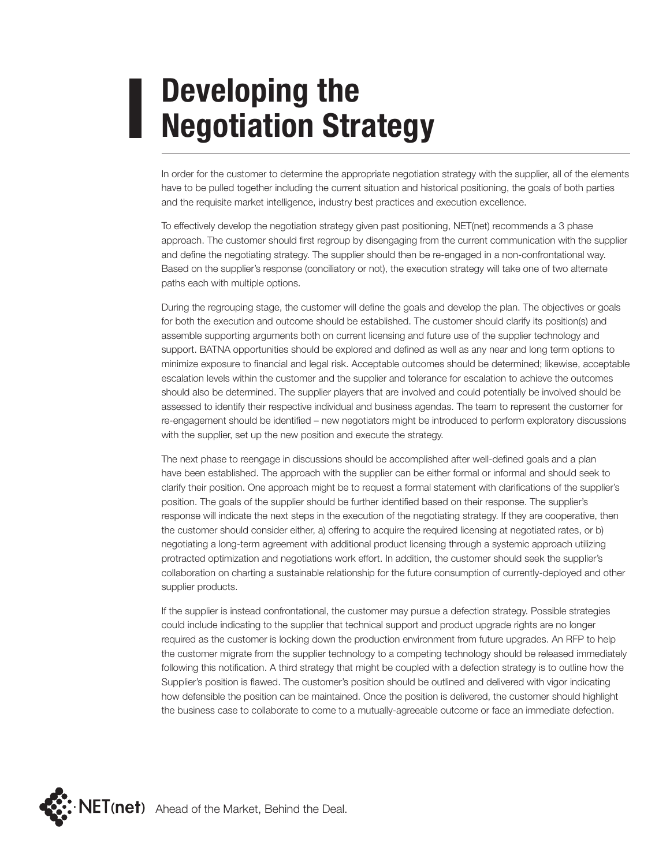## **Developing the Negotiation Strategy**

In order for the customer to determine the appropriate negotiation strategy with the supplier, all of the elements have to be pulled together including the current situation and historical positioning, the goals of both parties and the requisite market intelligence, industry best practices and execution excellence.

To effectively develop the negotiation strategy given past positioning, NET(net) recommends a 3 phase approach. The customer should first regroup by disengaging from the current communication with the supplier and define the negotiating strategy. The supplier should then be re-engaged in a non-confrontational way. Based on the supplier's response (conciliatory or not), the execution strategy will take one of two alternate paths each with multiple options.

During the regrouping stage, the customer will define the goals and develop the plan. The objectives or goals for both the execution and outcome should be established. The customer should clarify its position(s) and assemble supporting arguments both on current licensing and future use of the supplier technology and support. BATNA opportunities should be explored and defined as well as any near and long term options to minimize exposure to financial and legal risk. Acceptable outcomes should be determined; likewise, acceptable escalation levels within the customer and the supplier and tolerance for escalation to achieve the outcomes should also be determined. The supplier players that are involved and could potentially be involved should be assessed to identify their respective individual and business agendas. The team to represent the customer for re-engagement should be identified – new negotiators might be introduced to perform exploratory discussions with the supplier, set up the new position and execute the strategy.

The next phase to reengage in discussions should be accomplished after well-defined goals and a plan have been established. The approach with the supplier can be either formal or informal and should seek to clarify their position. One approach might be to request a formal statement with clarifications of the supplier's position. The goals of the supplier should be further identified based on their response. The supplier's response will indicate the next steps in the execution of the negotiating strategy. If they are cooperative, then the customer should consider either, a) offering to acquire the required licensing at negotiated rates, or b) negotiating a long-term agreement with additional product licensing through a systemic approach utilizing protracted optimization and negotiations work effort. In addition, the customer should seek the supplier's collaboration on charting a sustainable relationship for the future consumption of currently-deployed and other supplier products.

If the supplier is instead confrontational, the customer may pursue a defection strategy. Possible strategies could include indicating to the supplier that technical support and product upgrade rights are no longer required as the customer is locking down the production environment from future upgrades. An RFP to help the customer migrate from the supplier technology to a competing technology should be released immediately following this notification. A third strategy that might be coupled with a defection strategy is to outline how the Supplier's position is flawed. The customer's position should be outlined and delivered with vigor indicating how defensible the position can be maintained. Once the position is delivered, the customer should highlight the business case to collaborate to come to a mutually-agreeable outcome or face an immediate defection.